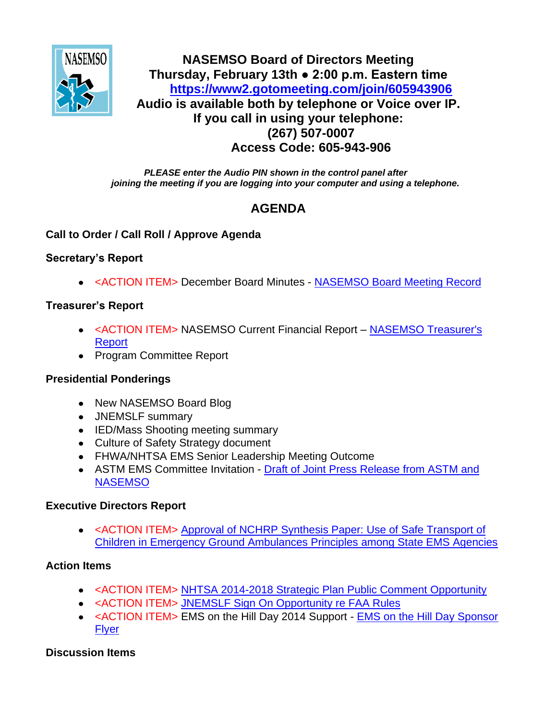

## **NASEMSO Board of Directors Meeting Thursday, February 13th ● 2:00 p.m. Eastern time <https://www2.gotomeeting.com/join/605943906> Audio is available both by telephone or Voice over IP. If you call in using your telephone: (267) 507-0007 Access Code: 605-943-906**

*PLEASE enter the Audio PIN shown in the control panel after joining the meeting if you are logging into your computer and using a telephone.*

# **AGENDA**

#### **Call to Order / Call Roll / Approve Agenda**

#### **Secretary's Report**

<ACTION ITEM> December Board Minutes - [NASEMSO Board Meeting Record](https://www.nasemso.org/Members/Board/documents/NASEMSO-Board-Minutes-09Jan2014-Final-Draft.pdf)

#### **Treasurer's Report**

- <ACTION ITEM> NASEMSO Current Financial Report NASEMSO Treasurer's [Report](https://www.nasemso.org/Members/Board/documents/NASEMSO-Treasurers-Report-31Jan2014.pdf)
- Program Committee Report

## **Presidential Ponderings**

- New NASEMSO Board Blog
- JNEMSLF summary
- IED/Mass Shooting meeting summary
- Culture of Safety Strategy document
- FHWA/NHTSA EMS Senior Leadership Meeting Outcome
- ASTM EMS Committee Invitation [Draft of Joint Press Release from ASTM and](https://www.nasemso.org/Members/Board/documents/Draft-Press-Release-ASTM.pdf)  **[NASEMSO](https://www.nasemso.org/Members/Board/documents/Draft-Press-Release-ASTM.pdf)**

#### **Executive Directors Report**

<ACTION ITEM> [Approval of NCHRP Synthesis Paper:](https://www.nasemso.org/Members/Board/documents/Safe-Transport-Synthesis-Recommendation-13Feb2014.pdf) Use of Safe Transport of [Children in Emergency Ground Ambulances Principles among State EMS Agencies](https://www.nasemso.org/Members/Board/documents/Safe-Transport-Synthesis-Recommendation-13Feb2014.pdf)

#### **Action Items**

- <ACTION ITEM> [NHTSA 2014-2018 Strategic Plan Public Comment Opportunity](https://www.nasemso.org/Members/Board/documents/NHTSA-2014-2018-Strategic-Plan-Public-Comment-Opportunity.pdf)
- <ACTION ITEM> JNEMSLF Sign On Opportunity re FAA Rules
- <ACTION ITEM> EMS on the Hill Day 2014 Support [EMS on the Hill Day Sponsor](https://www.nasemso.org/Members/Board/documents/EMSHDSponsorFlyer_12-05-13.pdf)  **[Flyer](https://www.nasemso.org/Members/Board/documents/EMSHDSponsorFlyer_12-05-13.pdf)**

## **Discussion Items**